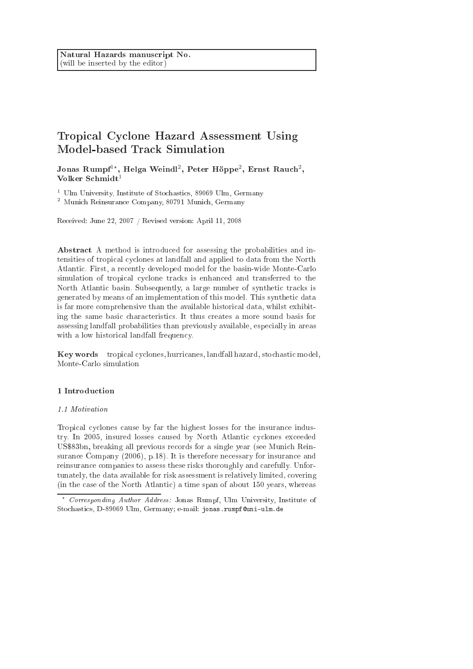# Tropi
al Cy
lone Hazard Assessment Using Model-based Tra
k Simulation

Jonas Rumpf $^1{}^{\star}$ , Helga Weindl $^2$ , Peter Höppe $^2$ , Ernst Rauch $^2$ , Volker Schmidt<sup>1</sup>

<sup>1</sup> Ulm University, Institute of Stochastics, 89069 Ulm, Germany 2 Muni
h Reinsuran
e Company, 80791 Muni
h, Germany

Re
eived: June 22, 2007 / Revised version: April 11, 2008

Abstract A method is introduced for assessing the probabilities and intensities of tropical cyclones at landfall and applied to data from the North Atlanti
. First, a re
ently developed model for the basin-wide Monte-Carlo simulation of tropical cyclone tracks is enhanced and transferred to the North Atlantic basin. Subsequently, a large number of synthetic tracks is generated by means of an implementation of this model. This syntheti data is far more omprehensive than the available histori
al data, whilst exhibiting the same basic characteristics. It thus creates a more sound basis for assessing landfall probabilities than previously available, espe
ially in areas with a low historical landfall frequency.

Key words tropical cyclones, hurricanes, landfall hazard, stochastic model, Monte-Carlo simulation

# 1 Introdu
tion

# 1.1 Motivation

Tropical cyclones cause by far the highest losses for the insurance industry. In 2005, insured losses caused by North Atlantic cyclones exceeded US\$83bn, breaking all previous records for a single year (see Munich Reinsurance Company (2006), p.18). It is therefore necessary for insurance and reinsuran
e ompanies to assess these risks thoroughly and arefully. Unfortunately, the data available for risk assessment is relatively limited, overing (in the ase of the North Atlanti
) a time span of about 150 years, whereas

<sup>⋆</sup> Corresponding Author Address: Jonas Rumpf, Ulm University, Institute of Stochastics, D-89069 Ulm, Germany; e-mail: jonas.rumpf@uni-ulm.de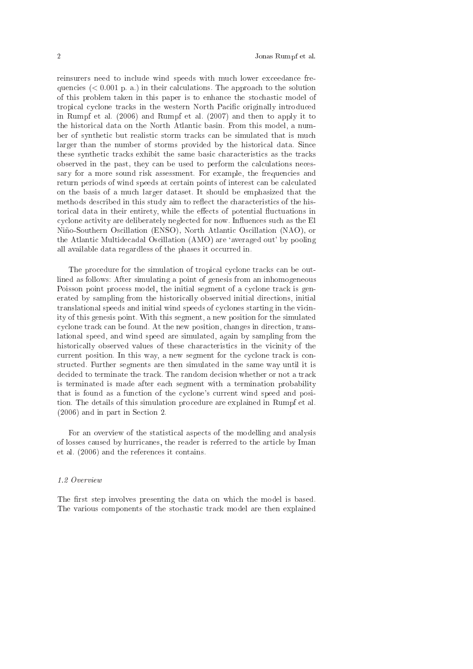reinsurers need to in
lude wind speeds with mu
h lower ex
eedan
e frequencies  $( $0.001$  p. a.) in their calculations. The approach to the solution$ of this problem taken in this paper is to enhan
e the sto
hasti model of tropical cyclone tracks in the western North Pacific originally introduced in Rumpf et al. (2006) and Rumpf et al. (2007) and then to apply it to the historical data on the North Atlantic basin. From this model, a number of synthetic but realistic storm tracks can be simulated that is much larger than the number of storms provided by the historical data. Since these synthetic tracks exhibit the same basic characteristics as the tracks observed in the past, they can be used to perform the calculations necessary for a more sound risk assessment. For example, the frequencies and return periods of wind speeds at certain points of interest can be calculated on the basis of a mu
h larger dataset. It should be emphasized that the methods described in this study aim to reflect the characteristics of the historical data in their entirety, while the effects of potential fluctuations in cyclone activity are deliberately neglected for now. Influences such as the El Niño-Southern Oscillation (ENSO), North Atlantic Oscillation (NAO), or the Atlantic Multidecadal Oscillation (AMO) are 'averaged out' by pooling all available data regardless of the phases it occurred in.

The procedure for the simulation of tropical cyclone tracks can be outlined as follows: After simulating a point of genesis from an inhomogeneous Poisson point process model, the initial segment of a cyclone track is generated by sampling from the historically observed initial directions, initial translational speeds and initial wind speeds of cyclones starting in the vicinity of this genesis point. With this segment, a new position for the simulated cyclone track can be found. At the new position, changes in direction, translational speed, and wind speed are simulated, again by sampling from the historically observed values of these characteristics in the vicinity of the current position. In this way, a new segment for the cyclone track is constru
ted. Further segments are then simulated in the same way until it is decided to terminate the track. The random decision whether or not a track is terminated is made after ea
h segment with a termination probability that is found as a function of the cyclone's current wind speed and position. The details of this simulation pro
edure are explained in Rumpf et al. (2006) and in part in Section 2.

For an overview of the statisti
al aspe
ts of the modelling and analysis of losses aused by hurri
anes, the reader is referred to the arti
le by Iman et al. (2006) and the referen
es it ontains.

The first step involves presenting the data on which the model is based. The various components of the stochastic track model are then explained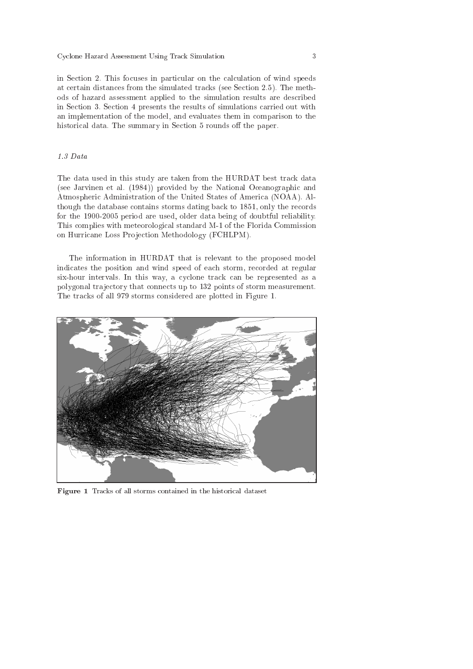in Section 2. This focuses in particular on the calculation of wind speeds at ertain distan
es from the simulated tra
ks (see Se
tion 2.5). The methods of hazard assessment applied to the simulation results are des
ribed in Se
tion 3. Se
tion 4 presents the results of simulations arried out with an implementation of the model, and evaluates them in omparison to the historical data. The summary in Section 5 rounds off the paper.

The data used in this study are taken from the HURDAT best track data (see Jarvinen et al.  $(1984)$ ) provided by the National Oceanographic and Atmospheri Administration of the United States of Ameri
a (NOAA). Although the database contains storms dating back to 1851, only the records for the 1900-2005 period are used, older data being of doubtful reliability. This omplies with meteorologi
al standard M-1 of the Florida Commission on Hurricane Loss Projection Methodology (FCHLPM).

The information in HURDAT that is relevant to the proposed model indicates the position and wind speed of each storm, recorded at regular six-hour intervals. In this way, a cyclone track can be represented as a polygonal trajectory that connects up to 132 points of storm measurement. The tra
ks of all 979 storms onsidered are plotted in Figure 1.



Figure <sup>1</sup> Tra
ks of all storms ontained in the histori
al dataset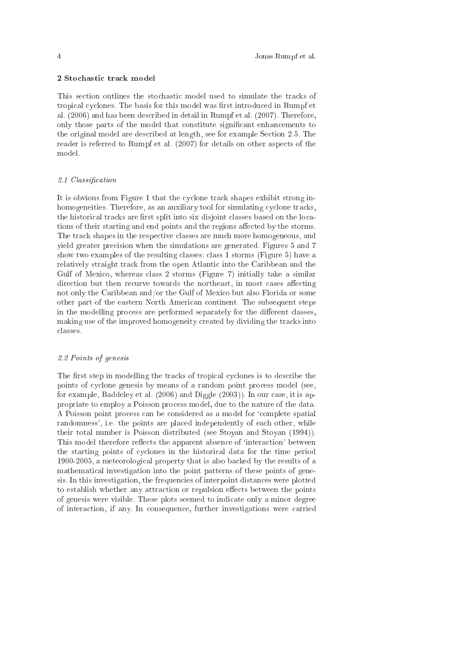# 2 Stochastic track model

This section outlines the stochastic model used to simulate the tracks of tropical cyclones. The basis for this model was first introduced in Rumpf et al. (2006) and has been des
ribed in detail in Rumpf et al. (2007). Therefore, only those parts of the model that constitute significant enhancements to the original model are described at length, see for example Section 2.5. The reader is referred to Rumpf et al. (2007) for details on other aspects of the model.

# 2.1 Classi
ation

It is obvious from Figure 1 that the cyclone track shapes exhibit strong inhomogeneities. Therefore, as an auxiliary tool for simulating cyclone tracks, the historical tracks are first split into six disjoint classes based on the locations of their starting and end points and the regions affected by the storms. The tra
k shapes in the respe
tive lasses are mu
h more homogeneous, and yield greater pre
ision when the simulations are generated. Figures 5 and 7 show two examples of the resulting classes: class 1 storms (Figure 5) have a relatively straight track from the open Atlantic into the Caribbean and the Gulf of Mexico, whereas class 2 storms (Figure 7) initially take a similar direction but then recurve towards the northeast, in most cases affecting not only the Caribbean and/or the Gulf of Mexico but also Florida or some other part of the eastern North Ameri
an ontinent. The subsequent steps in the modelling process are performed separately for the different classes, making use of the improved homogeneity created by dividing the tracks into lasses.

# 2.2 Points of genesis

The first step in modelling the tracks of tropical cyclones is to describe the points of cyclone genesis by means of a random point process model (see, for example, Baddeley et al. (2006) and Diggle (2003)). In our case, it is appropriate to employ a Poisson pro
ess model, due to the nature of the data. A Poisson point process can be considered as a model for 'complete spatial randomness', i.e. the points are placed independently of each other, while their total number is Poisson distributed (see Stoyan and Stoyan (1994)). This model therefore reflects the apparent absence of 'interaction' between the starting points of cyclones in the historical data for the time period 1900-2005, a meteorologi
al property that is also ba
ked by the results of a mathemati
al investigation into the point patterns of these points of genesis. In this investigation, the frequencies of interpoint distances were plotted to establish whether any attraction or repulsion effects between the points of genesis were visible. These plots seemed to indicate only a minor degree of intera
tion, if any. In onsequen
e, further investigations were arried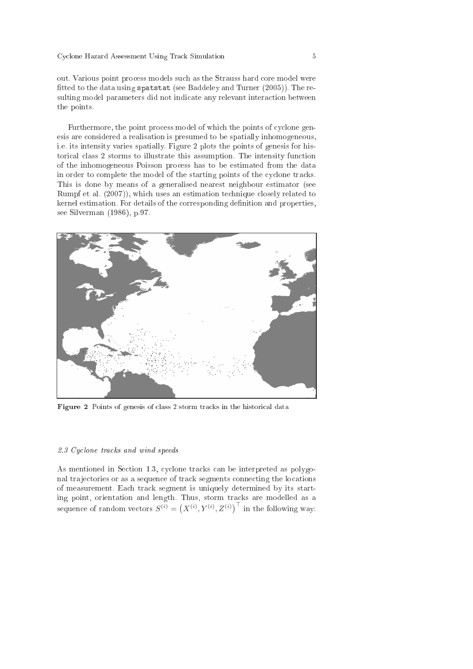# Cy
lone Hazard Assessment Using Tra
k Simulation 5

out. Various point process models such as the Strauss hard core model were fitted to the data using spatstat (see Baddeley and Turner  $(2005)$ ). The resulting model parameters did not indicate any relevant interaction between the points.

Furthermore, the point process model of which the points of cyclone genesis are onsidered a realisation is presumed to be spatially inhomogeneous, i.e. its intensity varies spatially. Figure 2 plots the points of genesis for historical class 2 storms to illustrate this assumption. The intensity function of the inhomogeneous Poisson pro
ess has to be estimated from the data in order to complete the model of the starting points of the cyclone tracks. This is done by means of a generalised nearest neighbour estimator (see Rumpf et al. (2007)), which uses an estimation technique closely related to kernel estimation. For details of the corresponding definition and properties, see Silverman (1986), p.97.



Figure <sup>2</sup> Points of genesis of lass 2 storm tra
ks in the histori
al data

# 2.3 Cy
lone tra
ks and wind speeds

As mentioned in Section 1.3, cyclone tracks can be interpreted as polygonal trajectories or as a sequence of track segments connecting the locations of measurement. Ea
h tra
k segment is uniquely determined by its starting point, orientation and length. Thus, storm tra
ks are modelled as a sequence of random vectors  $S^{(i)} = (X^{(i)}, Y^{(i)}, Z^{(i)})^{\top}$  in the following way: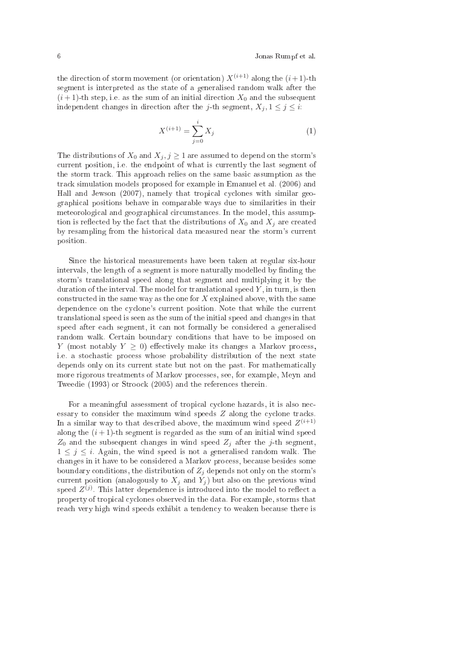the direction of storm movement (or orientation)  $X^{(i+1)}$  along the  $(i+1)$ -th segment is interpreted as the state of a generalised random walk after the  $(i+1)$ -th step, i.e. as the sum of an initial direction  $X_0$  and the subsequent independent changes in direction after the *j*-th segment,  $X_j$ ,  $1 \leq j \leq i$ :

$$
X^{(i+1)} = \sum_{j=0}^{i} X_j
$$
 (1)

The distributions of  $X_0$  and  $X_j$ ,  $j \geq 1$  are assumed to depend on the storm's urrent position, i.e. the endpoint of what is urrently the last segment of the storm tra
k. This approa
h relies on the same basi assumption as the tra
k simulation models proposed for example in Emanuel et al. (2006) and Hall and Jewson (2007), namely that tropical cyclones with similar geographi
al positions behave in omparable ways due to similarities in their meteorological and geographical circumstances. In the model, this assumption is reflected by the fact that the distributions of  $X_0$  and  $X_i$  are created by resampling from the historical data measured near the storm's current position.

Since the historical measurements have been taken at regular six-hour intervals, the length of a segment is more naturally modelled by finding the storm's translational speed along that segment and multiplying it by the duration of the interval. The model for translational speed  $Y$ , in turn, is then constructed in the same way as the one for  $X$  explained above, with the same dependence on the cyclone's current position. Note that while the current translational speed is seen as the sum of the initial speed and hanges in that speed after ea
h segment, it an not formally be onsidered a generalised random walk. Certain boundary conditions that have to be imposed on Y (most notably  $Y \geq 0$ ) effectively make its changes a Markov process, i.e. a stochastic process whose probability distribution of the next state depends only on its current state but not on the past. For mathematically more rigorous treatments of Markov pro
esses, see, for example, Meyn and Tweedie (1993) or Stroo
k (2005) and the referen
es therein.

For a meaningful assessment of tropical cyclone hazards, it is also necessary to consider the maximum wind speeds  $Z$  along the cyclone tracks. In a similar way to that described above, the maximum wind speed  $Z^{(i+1)}$ along the  $(i + 1)$ -th segment is regarded as the sum of an initial wind speed  $Z_0$  and the subsequent changes in wind speed  $Z_j$  after the j-th segment,  $1 \leq j \leq i$ . Again, the wind speed is not a generalised random walk. The hanges in it have to be onsidered a Markov pro
ess, be
ause besides some boundary conditions, the distribution of  $Z_i$  depends not only on the storm's current position (analogously to  $X_j$  and  $Y_j$ ) but also on the previous wind speed  $Z^{(j)}$ . This latter dependence is introduced into the model to reflect a property of tropical cyclones observed in the data. For example, storms that reach very high wind speeds exhibit a tendency to weaken because there is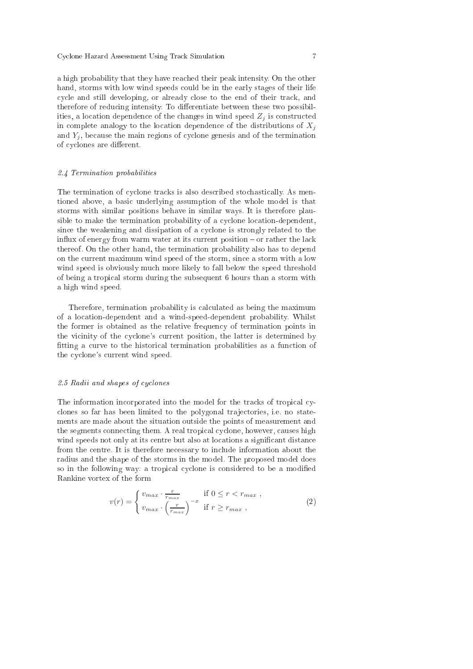Cy
lone Hazard Assessment Using Tra
k Simulation 7

a high probability that they have rea
hed their peak intensity. On the other hand, storms with low wind speeds could be in the early stages of their life cycle and still developing, or already close to the end of their track, and therefore of reducing intensity. To differentiate between these two possibilities, a location dependence of the changes in wind speed  $Z_j$  is constructed in complete analogy to the location dependence of the distributions of  $X_i$ and  $Y_i$ , because the main regions of cyclone genesis and of the termination of cyclones are different.

### 2.4 Termination probabilities

The termination of cyclone tracks is also described stochastically. As mentioned above, a basi underlying assumption of the whole model is that storms with similar positions behave in similar ways. It is therefore plausible to make the termination probability of a cyclone location-dependent, since the weakening and dissipation of a cyclone is strongly related to the inux of energy from warm water at its urrent position or rather the la
k thereof. On the other hand, the termination probability also has to depend on the urrent maximum wind speed of the storm, sin
e a storm with a low wind speed is obviously mu
h more likely to fall below the speed threshold of being a tropi
al storm during the subsequent 6 hours than a storm with a high wind speed.

Therefore, termination probability is calculated as being the maximum of a lo
ation-dependent and a wind-speed-dependent probability. Whilst the former is obtained as the relative frequency of termination points in the vicinity of the cyclone's current position, the latter is determined by fitting a curve to the historical termination probabilities as a function of the cyclone's current wind speed.

### 2.5 Radii and shapes of y
lones

The information incorporated into the model for the tracks of tropical cyclones so far has been limited to the polygonal trajectories, i.e. no statements are made about the situation outside the points of measurement and the segments connecting them. A real tropical cyclone, however, causes high wind speeds not only at its centre but also at locations a significant distance from the entre. It is therefore ne
essary to in
lude information about the radius and the shape of the storms in the model. The proposed model does so in the following way: a tropical evelone is considered to be a modified Bankine vortex of the form

$$
v(r) = \begin{cases} v_{max} \cdot \frac{r}{r_{max}} & \text{if } 0 \le r < r_{max} \\ v_{max} \cdot \left(\frac{r}{r_{max}}\right)^{-x} & \text{if } r \ge r_{max} \end{cases}
$$
 (2)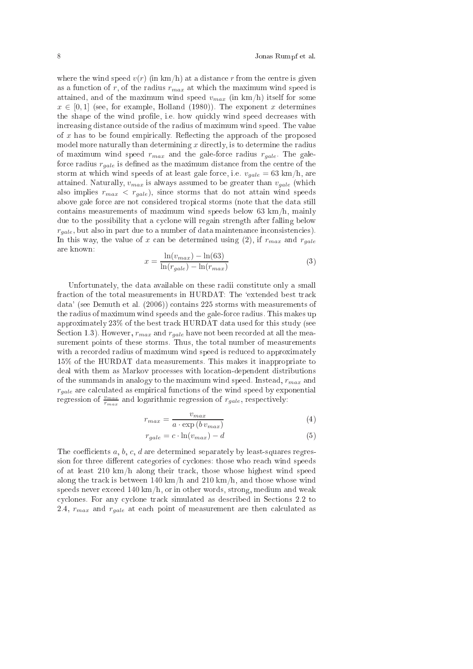where the wind speed  $v(r)$  (in km/h) at a distance r from the centre is given as a function of r, of the radius  $r_{max}$  at which the maximum wind speed is attained, and of the maximum wind speed  $v_{max}$  (in km/h) itself for some  $x \in [0,1]$  (see, for example, Holland (1980)). The exponent x determines the shape of the wind profile, i.e. how quickly wind speed decreases with in
reasing distan
e outside of the radius of maximum wind speed. The value of x has to be found empirically. Reflecting the approach of the proposed model more naturally than determining  $x$  directly, is to determine the radius of maximum wind speed  $r_{max}$  and the gale-force radius  $r_{gale}$ . The galeforce radius  $r_{\text{gale}}$  is defined as the maximum distance from the centre of the storm at which wind speeds of at least gale force, i.e.  $v_{\text{gale}} = 63 \text{ km/h}$ , are attained. Naturally,  $v_{max}$  is always assumed to be greater than  $v_{gale}$  (which also implies  $r_{max} < r_{gale}$ ), since storms that do not attain wind speeds above gale for
e are not onsidered tropi
al storms (note that the data still ontains measurements of maximum wind speeds below 63 km/h, mainly due to the possibility that a cyclone will regain strength after falling below  $r_{\text{calc}}$ , but also in part due to a number of data maintenance inconsistencies). In this way, the value of x can be determined using (2), if  $r_{max}$  and  $r_{gale}$ are known:

$$
x = \frac{\ln(v_{max}) - \ln(63)}{\ln(r_{gale}) - \ln(r_{max})}
$$
\n(3)

Unfortunately, the data available on these radii constitute only a small fraction of the total measurements in HURDAT: The 'extended best track data' (see Demuth et al. (2006)) ontains 225 storms with measurements of the radius of maximum wind speeds and the gale-for
e radius. This makes up approximately 23% of the best tra
k HURDAT data used for this study (see Section 1.3). However,  $r_{max}$  and  $r_{gale}$  have not been recorded at all the measurement points of these storms. Thus, the total number of measurements with a recorded radius of maximum wind speed is reduced to approximately 15% of the HURDAT data measurements. This makes it inappropriate to deal with them as Markov pro
esses with lo
ation-dependent distributions of the summands in analogy to the maximum wind speed. Instead,  $r_{max}$  and  $r_{\text{calc}}$  are calculated as empirical functions of the wind speed by exponential regression of  $\frac{v_{max}}{r_{max}}$  and logarithmic regression of  $r_{gale}$ , respectively:

$$
r_{max} = \frac{v_{max}}{a \cdot \exp\left(b v_{max}\right)}\tag{4}
$$

$$
r_{gale} = c \cdot \ln(v_{max}) - d \tag{5}
$$

The coefficients  $a, b, c, d$  are determined separately by least-squares regression for three different categories of cyclones: those who reach wind speeds of at least  $210 \text{ km/h}$  along their track, those whose highest wind speed along the track is between  $140 \text{ km/h}$  and  $210 \text{ km/h}$ , and those whose wind speeds never ex
eed 140 km/h, or in other words, strong, medium and weak cyclones. For any cyclone track simulated as described in Sections 2.2 to 2.4,  $r_{max}$  and  $r_{gale}$  at each point of measurement are then calculated as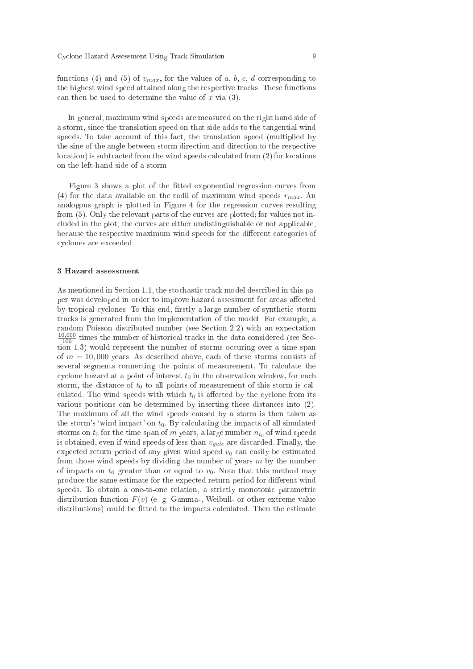functions (4) and (5) of  $v_{max}$ , for the values of a, b, c, d corresponding to the highest wind speed attained along the respe
tive tra
ks. These fun
tions can then be used to determine the value of  $x$  via  $(3)$ .

In general, maximum wind speeds are measured on the right hand side of a storm, sin
e the translation speed on that side adds to the tangential wind speeds. To take account of this fact, the translation speed (multiplied by the sine of the angle between storm direction and direction to the respective location) is subtracted from the wind speeds calculated from (2) for locations on the left-hand side of a storm.

Figure 3 shows a plot of the fitted exponential regression curves from (4) for the data available on the radii of maximum wind speeds  $r_{max}$ . An analogous graph is plotted in Figure 4 for the regression curves resulting from  $(5)$ . Only the relevant parts of the curves are plotted; for values not included in the plot, the curves are either undistinguishable or not applicable, because the respective maximum wind speeds for the different categories of y
lones are ex
eeded.

# 3 Hazard assessment

As mentioned in Section 1.1, the stochastic track model described in this paper was developed in order to improve hazard assessment for areas affected by tropical cyclones. To this end, firstly a large number of synthetic storm tra
ks is generated from the implementation of the model. For example, a random Poisson distributed number (see Section 2.2) with an expectation  $\frac{10,000}{106}$  times the number of historical tracks in the data considered (see Sec- $\tau$  tion 1.3) would represent the number of storms occuring over a time span of  $m = 10,000$  years. As described above, each of these storms consists of several segments connecting the points of measurement. To calculate the cyclone hazard at a point of interest  $t_0$  in the observation window, for each storm, the distance of  $t_0$  to all points of measurement of this storm is calculated. The wind speeds with which  $t_0$  is affected by the cyclone from its various positions an be determined by inserting these distan
es into (2). The maximum of all the wind speeds caused by a storm is then taken as the storm's 'wind impact' on  $t_0$ . By calculating the impacts of all simulated storms on  $t_0$  for the time span of m years, a large number  $n_{t_0}$  of wind speeds is obtained, even if wind speeds of less than  $v_{gale}$  are discarded. Finally, the expected return period of any given wind speed  $v_0$  can easily be estimated from those wind speeds by dividing the number of years  $m$  by the number of impacts on  $t_0$  greater than or equal to  $v_0$ . Note that this method may produce the same estimate for the expected return period for different wind speeds. To obtain a one-to-one relation, a strictly monotonic parametric distribution function  $F(v)$  (e. g. Gamma-, Weibull- or other extreme value distributions) could be fitted to the impacts calculated. Then the estimate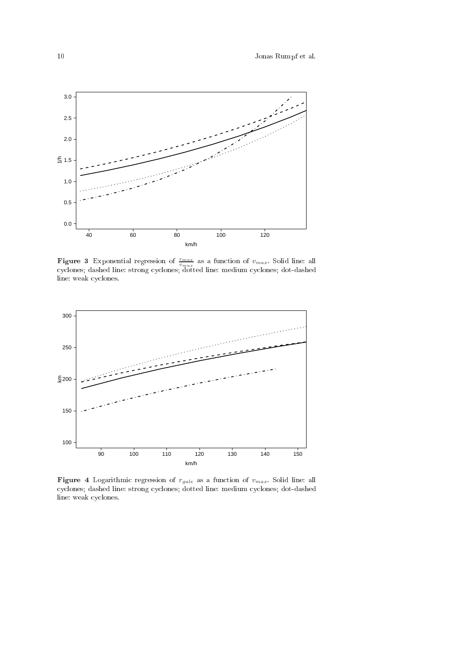

**Figure 3** Exponential regression of  $\frac{r_{max}}{v_{max}}$  as a function of  $v_{max}$ . Solid line: all y
lones; dashed line: strong y
lones; dotted line: medium y
lones; dot-dashed line: weak cyclones.



Figure 4 Logarithmic regression of  $r_{gale}$  as a function of  $v_{max}$ . Solid line: all cyclones; dashed line: strong cyclones; dotted line: medium cyclones; dot-dashed line: weak cyclones.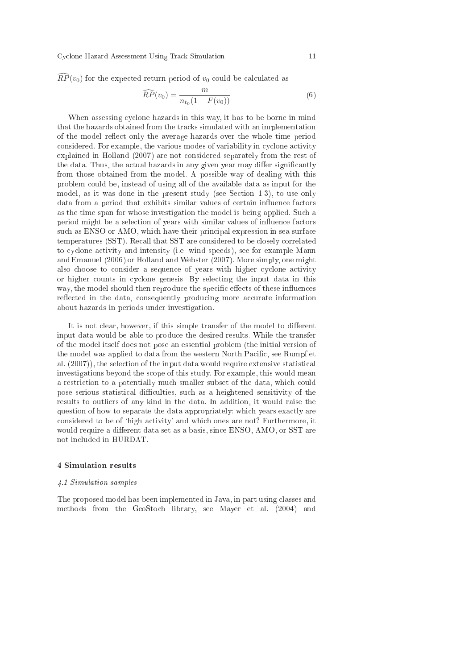$\widehat{RP}(v_0)$  for the expected return period of  $v_0$  could be calculated as

$$
\widehat{RP}(v_0) = \frac{m}{n_{t_0}(1 - F(v_0))}
$$
\n(6)

When assessing cyclone hazards in this way, it has to be borne in mind that the hazards obtained from the tra
ks simulated with an implementation of the model reflect only the average hazards over the whole time period considered. For example, the various modes of variability in cyclone activity explained in Holland (2007) are not considered separately from the rest of the data. Thus, the actual hazards in any given year may differ significantly from those obtained from the model. A possible way of dealing with this problem ould be, instead of using all of the available data as input for the model, as it was done in the present study (see Section 1.3), to use only data from a period that exhibits similar values of certain influence factors as the time span for whose investigation the model is being applied. Su
h a period might be a selection of years with similar values of influence factors such as ENSO or AMO, which have their principal expression in sea surface temperatures (SST). Recall that SST are considered to be closely correlated to cyclone activity and intensity (i.e. wind speeds), see for example Mann and Emanuel (2006) or Holland and Webster (2007). More simply, one might also choose to consider a sequence of years with higher cyclone activity or higher counts in cyclone genesis. By selecting the input data in this way, the model should then reproduce the specific effects of these influences reflected in the data, consequently producing more accurate information about hazards in periods under investigation.

It is not clear, however, if this simple transfer of the model to different input data would be able to produ
e the desired results. While the transfer of the model itself does not pose an essential problem (the initial version of the model was applied to data from the western North Pacific, see Rumpf et al. (2007)), the selection of the input data would require extensive statistical investigations beyond the s
ope of this study. For example, this would mean a restriction to a potentially much smaller subset of the data, which could pose serious statistical difficulties, such as a heightened sensitivity of the results to outliers of any kind in the data. In addition, it would raise the question of how to separate the data appropriately: which years exactly are onsidered to be of `high a
tivity' and whi
h ones are not? Furthermore, it would require a different data set as a basis, since ENSO, AMO, or SST are not in
luded in HURDAT.

# 4 Simulation results

### 4.1 Simulation samples

The proposed model has been implemented in Java, in part using lasses and methods from the GeoSto
h library, see Mayer et al. (2004) and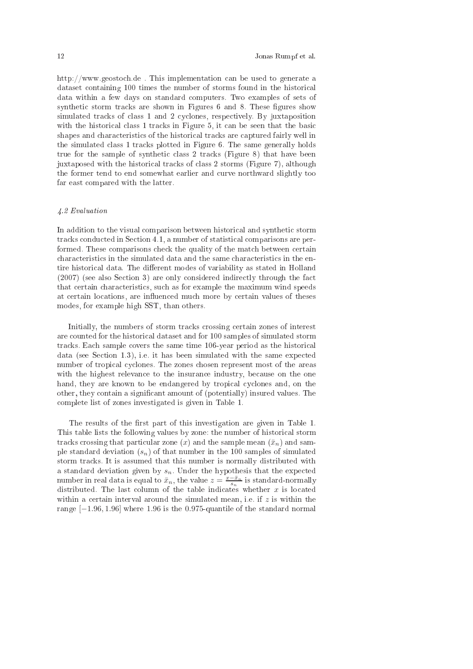http://www.geostoch.de. This implementation can be used to generate a dataset containing 100 times the number of storms found in the historical data within a few days on standard omputers. Two examples of sets of synthetic storm tracks are shown in Figures 6 and 8. These figures show simulated tracks of class 1 and 2 cyclones, respectively. By juxtaposition with the historical class 1 tracks in Figure 5, it can be seen that the basic shapes and characteristics of the historical tracks are captured fairly well in the simulated lass 1 tra
ks plotted in Figure 6. The same generally holds true for the sample of synthetic class 2 tracks (Figure 8) that have been juxtaposed with the historical tracks of class 2 storms (Figure 7), although the former tend to end somewhat earlier and urve northward slightly too far east ompared with the latter.

### 4.2 Evaluation

In addition to the visual comparison between historical and synthetic storm tra
ks ondu
ted in Se
tion 4.1, a number of statisti
al omparisons are performed. These omparisons he
k the quality of the mat
h between ertain characteristics in the simulated data and the same characteristics in the entire historical data. The different modes of variability as stated in Holland (2007) (see also Section 3) are only considered indirectly through the fact that certain characteristics, such as for example the maximum wind speeds at certain locations, are influenced much more by certain values of theses modes, for example high SST, than others.

Initially, the numbers of storm tracks crossing certain zones of interest are ounted for the histori
al dataset and for 100 samples of simulated storm tracks. Each sample covers the same time 106-year period as the historical data (see Section 1.3), i.e. it has been simulated with the same expected number of tropical cyclones. The zones chosen represent most of the areas with the highest relevance to the insurance industry, because on the one hand, they are known to be endangered by tropical cyclones and, on the other, they contain a significant amount of (potentially) insured values. The omplete list of zones investigated is given in Table 1.

The results of the first part of this investigation are given in Table 1. This table lists the following values by zone: the number of historical storm tracks crossing that particular zone  $(x)$  and the sample mean  $(\bar{x}_n)$  and sample standard deviation  $(s_n)$  of that number in the 100 samples of simulated storm tra
ks. It is assumed that this number is normally distributed with a standard deviation given by  $s_n$ . Under the hypothesis that the expected number in real data is equal to  $\bar{x}_n$ , the value  $z = \frac{x - \bar{x}_n}{s_n}$  is standard-normally distributed. The last column of the table indicates whether x is located within a certain interval around the simulated mean, i.e. if  $z$  is within the range [−1.96, 1.96] where 1.96 is the 0.975-quantile of the standard normal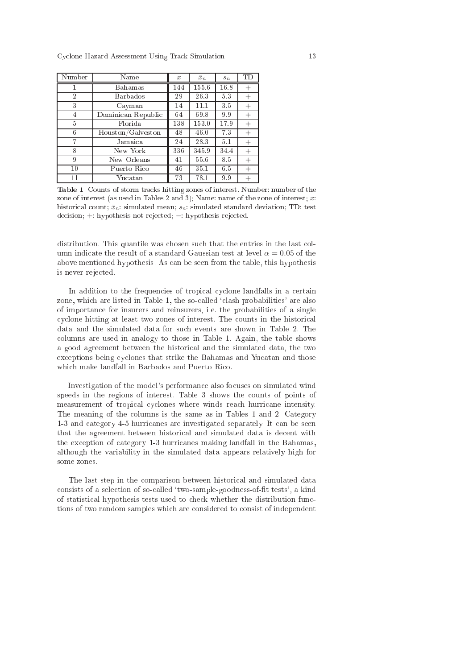Cy
lone Hazard Assessment Using Tra
k Simulation 13

| Number         | Name               | $\boldsymbol{x}$ | $\bar{x}_n$ | $s_n$ | TD     |
|----------------|--------------------|------------------|-------------|-------|--------|
|                | Bahamas            | 144              | 155.6       | 16.8  |        |
| $\overline{2}$ | <b>Barbados</b>    | 29               | 26.3        | 5.3   |        |
| 3              | Cayman             | 14               | 11.1        | 3.5   |        |
| 4              | Dominican Republic | 64               | 69.8        | 9.9   |        |
| 5              | Florida            | 138              | 153.0       | 17.9  |        |
| 6              | Houston/Galveston  | 48               | 46.0        | 7.3   | $^+$   |
| 7              | Jamaica            | 24               | 28.3        | 5.1   | $^{+}$ |
| 8              | New York           | 336              | 345.9       | 34.4  |        |
| 9              | New Orleans        | 41               | 55.6        | 8.5   | $^{+}$ |
| 10             | Puerto Rico        | 46               | 35.1        | 6.5   |        |
| 11             | Yucatan            | 73               | 78.1        | 9.9   |        |

Table <sup>1</sup> Counts of storm tra
ks hitting zones of interest. Number: number of the zone of interest (as used in Tables 2 and 3); Name: name of the zone of interest;  $x$ : historical count;  $\bar{x}_n$ : simulated mean;  $s_n$ : simulated standard deviation; TD: test decision; +: hypothesis not rejected; -: hypothesis rejected.

distribution. This quantile was chosen such that the entries in the last column indicate the result of a standard Gaussian test at level  $\alpha = 0.05$  of the above mentioned hypothesis. As an be seen from the table, this hypothesis is never reje
ted.

In addition to the frequencies of tropical cyclone landfalls in a certain zone, which are listed in Table 1, the so-called 'clash probabilities' are also of importan
e for insurers and reinsurers, i.e. the probabilities of a single cyclone hitting at least two zones of interest. The counts in the historical data and the simulated data for su
h events are shown in Table 2. The olumns are used in analogy to those in Table 1. Again, the table shows a good agreement between the histori
al and the simulated data, the two exceptions being cyclones that strike the Bahamas and Yucatan and those which make landfall in Barbados and Puerto Rico.

Investigation of the model's performan
e also fo
uses on simulated wind speeds in the regions of interest. Table 3 shows the ounts of points of measurement of tropical cyclones where winds reach hurricane intensity. The meaning of the columns is the same as in Tables 1 and 2. Category 1-3 and ategory 4-5 hurri
anes are investigated separately. It an be seen that the agreement between historical and simulated data is decent with the ex
eption of ategory 1-3 hurri
anes making landfall in the Bahamas, although the variability in the simulated data appears relatively high for some zones.

The last step in the comparison between historical and simulated data consists of a selection of so-called 'two-sample-goodness-of-fit tests', a kind of statisti
al hypothesis tests used to he
k whether the distribution fun
 tions of two random samples which are considered to consist of independent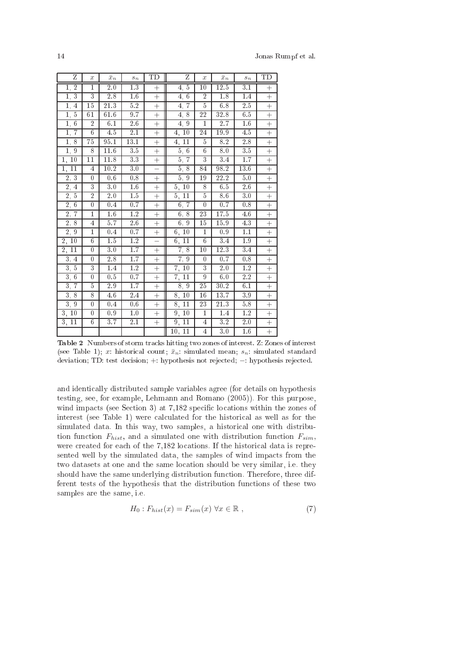Jonas Rumpf et al.

| Ζ                                  | $\boldsymbol{x}$ | $\bar{x}_n$      | $s_n$            | TD                       | Ζ                                   | $\boldsymbol{x}$ | $\bar{x}_n$       | $s_n$            | TD             |
|------------------------------------|------------------|------------------|------------------|--------------------------|-------------------------------------|------------------|-------------------|------------------|----------------|
| $\overline{2}$<br>1,               | 1                | 2.0              | 1.3              | $^{+}$                   | $\overline{5}$<br>4,                | 10               | 12.5              | 3.1              | $^{+}$         |
| $\overline{3}$<br>1.               | $\overline{3}$   | 2.8              | 1.6              | $^{+}$                   | 4,<br>6                             | $\overline{2}$   | 1.8               | 1.4              | $^{+}$         |
| 1.<br>$\overline{4}$               | 15               | 21.3             | 5.2              | $^{+}$                   | 4.<br>7                             | 5                | 6.8               | 2.5              | $^{+}$         |
| 1.<br>$\overline{5}$               | 61               | 61.6             | 9.7              | $^{+}$                   | 8<br>4,                             | 22               | 32.8              | 6.5              | $^{+}$         |
| 1,<br>6                            | $\overline{2}$   | 6.1              | 2.6              | $^{+}$                   | 4,<br>9                             | $\mathbf{1}$     | 2.7               | 1.6              | $^{+}$         |
| $\overline{7}$<br>1,               | 6                | 4.5              | 2.1              | $^{+}$                   | 10<br>4,                            | 24               | 19.9              | 4.5              | $^{+}$         |
| 1.<br>8                            | 75               | 95.1             | 13.1             | $^{+}$                   | 11<br>4,                            | 5                | 8.2               | 2.8              | $^{+}$         |
| ī,<br>9                            | 8                | 11.6             | 3.5              | $^{+}$                   | 5,<br>6                             | 6                | 8.0               | 3.5              | $^{+}$         |
| 10<br>1,                           | 11               | 11.8             | 3.3              | $^{+}$                   | 5,<br>$\overline{7}$                | 3                | 3.4               | 1.7              | $+$            |
| $\overline{1}1$<br>ī,              | $\overline{4}$   | 10.2             | 3.0              |                          | 5,<br>8                             | 84               | 98.2              | 13.6             | $^{+}$         |
| 3<br>2,                            | $\overline{0}$   | 0.6              | 0.8              | $^{+}$                   | 5,<br>9                             | 19               | 22.2              | 5.0              | $^{+}$         |
| $\overline{2}$<br>$\overline{4}$   | 3                | 3.0              | 1.6              | $^{+}$                   | $\bar{5}$ ,<br>10                   | 8                | 6.5               | 2.6              | $^{+}$         |
| $\overline{2,}$<br>5               | $\overline{2}$   | 2.0              | 1.5              | $^{+}$                   | 5,<br>$\overline{11}$               | 5                | $8.\overline{6}$  | $\overline{3.0}$ | $^{+}$         |
| $\overline{2}$<br>6                | $\overline{0}$   | 0.4              | 0.7              | $^{+}$                   | 6,<br>$\overline{7}$                | $\overline{0}$   | 0.7               | 0.8              | $^{+}$         |
| $\overline{2}$<br>$\overline{7}$   | $\mathbf{1}$     | 1.6              | 1.2              | $^{+}$                   | 6, 8                                | 23               | 17.5              | 4.6              | $^{+}$         |
| $\overline{2}$<br>8                | $\overline{4}$   | 5.7              | 2.6              | $^{+}$                   | 6,<br>-9                            | 15               | 15.9              | 4.3              | $^{+}$         |
| $\overline{2,}$<br>9               | $\mathbf{1}$     | 0.4              | 0.7              | $^{+}$                   | $\overline{10}$<br>6,               | $\mathbf{1}$     | 0.9               | 1.1              | $^{+}$         |
| 10<br>2,                           | $\boldsymbol{6}$ | $1.\overline{5}$ | $1.2\,$          | $\overline{\phantom{0}}$ | 11<br>6,                            | $\boldsymbol{6}$ | 3.4               | 1.9              | $+$            |
| $\overline{2,}$<br>11              | $\theta$         | 3.0              | 1.7              | $^{+}$                   | 7,<br>8                             | 10               | 12.3              | 3.4              | $\overline{+}$ |
| 3,<br>$\overline{4}$               | $\theta$         | 2.8              | 1.7              | $^{+}$                   | $\bar{7}_1$<br>9                    | $\theta$         | 0.7               | 0.8              | $^{+}$         |
| 3,<br>$\overline{5}$               | 3                | 1.4              | 1.2              | $^{+}$                   | 10<br>7,                            | 3                | $\overline{2.0}$  | 1.2              | $^{+}$         |
| 3,<br>6                            | $\theta$         | 0.5              | 0.7              | $^{+}$                   | 11<br>7,                            | 9                | $\overline{6}$ .0 | 2.2              | $^{+}$         |
| 3,<br>$\overline{7}$               | 5                | 2.9              | 1.7              | $^{+}$                   | 8, 9                                | 25               | 30.2              | 6.1              | $^{+}$         |
| 3,<br>8                            | 8                | 4.6              | 2.4              | $^{+}$                   | 8,<br>10                            | 16               | 13.7              | 3.9              | $^{+}$         |
| $\overline{3}$ ,<br>$\overline{9}$ | $\theta$         | 0.4              | 0.6              | $^{+}$                   | $\overline{11}$<br>$\overline{8}$ , | 23               | 21.3              | 5.8              | $^{+}$         |
| 3.<br>10                           | $\overline{0}$   | 0.9              | 1.0              | $^{+}$                   | 10<br>9,                            | $\mathbf{1}$     | 1.4               | 1.2              | $^{+}$         |
| $\overline{3,}$<br>11              | $\boldsymbol{6}$ | 3.7              | $2.\overline{1}$ | $^{+}$                   | 9,<br>11                            | $\overline{4}$   | $\overline{3.2}$  | 2.0              | $^{+}$         |
|                                    |                  |                  |                  |                          | $\overline{10}$ , 11                | $\overline{4}$   | 3.0               | 1.6              | $^{+}$         |

Table 2 Numbers of storm tracks hitting two zones of interest. Z: Zones of interest (see Table 1); x: historical count;  $\bar{x}_n$ : simulated mean;  $s_n$ : simulated standard deviation; TD: test decision;  $+$ : hypothesis not rejected;  $-$ : hypothesis rejected.

and identically distributed sample variables agree (for details on hypothesis testing, see, for example, Lehmann and Romano (2005)). For this purpose, wind impacts (see Section 3) at 7,182 specific locations within the zones of interest (see Table 1) were calculated for the historical as well as for the simulated data. In this way, two samples, a historical one with distribution function  $F_{hist}$ , and a simulated one with distribution function  $F_{sim}$ , were created for each of the 7,182 locations. If the historical data is represented well by the simulated data, the samples of wind impacts from the two datasets at one and the same location should be very similar, i.e. they should have the same underlying distribution function. Therefore, three different tests of the hypothesis that the distribution functions of these two samples are the same, i.e.

$$
H_0: F_{hist}(x) = F_{sim}(x) \,\forall x \in \mathbb{R} \,, \tag{7}
$$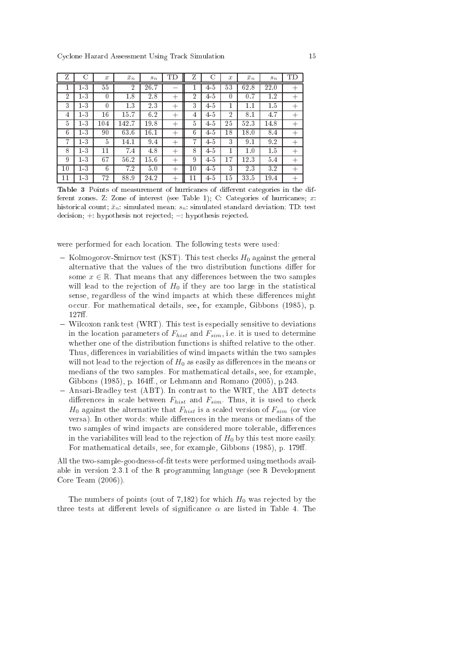| Ζ              | C       | $\boldsymbol{x}$ | $\bar{x}_n$    | $s_n$ | TD     | Ζ              | С       | $\boldsymbol{x}$ | $\bar{x}_n$ | $s_n$ | TD                 |
|----------------|---------|------------------|----------------|-------|--------|----------------|---------|------------------|-------------|-------|--------------------|
| 1              | $1-3$   | 55               | $\overline{2}$ | 26.7  | -      | 1              | $4 - 5$ | 53               | 62.8        | 22.0  | $\pm$              |
| $\overline{2}$ | $1-3$   | 0                | 1.8            | 2.8   | $^+$   | $\overline{2}$ | $4 - 5$ | $\theta$         | 0.7         | 1.2   | $\hspace{0.1mm} +$ |
| 3              | $1-3$   | $\theta$         | 1.3            | 2.3   | $^{+}$ | 3              | $4 - 5$ | 1                | 1.1         | 1.5   | $^{+}$             |
| 4              | $1-3$   | 16               | 15.7           | 6.2   | $^{+}$ | 4              | $4 - 5$ | $\overline{2}$   | 8.1         | 4.7   | $^{+}$             |
| 5              | $1-3$   | 104              | 142.7          | 19.8  | $^{+}$ | 5              | $4 - 5$ | 25               | 52.3        | 14.8  | $^{+}$             |
| 6              | $1-3$   | 90               | 63.6           | 16.1  | $^{+}$ | 6              | $4 - 5$ | 18               | 18.0        | 8.4   | $^{+}$             |
| 7              | $1-3$   | 5                | 14.1           | 9.4   | $^{+}$ | 7              | $4 - 5$ | 3                | 9.1         | 9.2   | $^{+}$             |
| 8              | $1-3$   | 11               | 7.4            | 4.8   | $^{+}$ | 8              | $4 - 5$ | 1                | 1.0         | 1.5   | $^{+}$             |
| 9              | $1-3$   | 67               | 56.2           | 15.6  | $^{+}$ | 9              | $4 - 5$ | 17               | 12.3        | 5.4   | $^{+}$             |
| 10             | $1 - 3$ | 6                | 7.2            | 5.0   | $^{+}$ | $10\,$         | $4 - 5$ | 3                | 2.3         | 3.2   | $^{+}$             |
| 11             | $1-3$   | 72               | 88.9           | 24.2  | $^+$   | 11             | $4 - 5$ | 15               | 33.5        | 19.4  | ┿                  |

Table 3 Points of measurement of hurricanes of different categories in the different zones. Z: Zone of interest (see Table 1); C: Categories of hurricanes; x: historical count;  $\bar{x}_n$ : simulated mean;  $s_n$ : simulated standard deviation; TD: test decision;  $+$ : hypothesis not rejected;  $-$ : hypothesis rejected.

were performed for each location. The following tests were used:

- Kolmogorov-Smirnov test (KST). This test checks  $H_0$  against the general alternative that the values of the two distribution functions differ for some  $x \in \mathbb{R}$ . That means that any differences between the two samples will lead to the rejection of  $H_0$  if they are too large in the statistical sense, regardless of the wind impacts at which these differences might occur. For mathematical details, see, for example, Gibbons (1985), p.  $127ff.$
- Wilcoxon rank test (WRT). This test is especially sensitive to deviations in the location parameters of  $F_{hist}$  and  $F_{sim}$ , i.e. it is used to determine whether one of the distribution functions is shifted relative to the other. Thus, differences in variabilities of wind impacts within the two samples will not lead to the rejection of  $H_0$  as easily as differences in the means or medians of the two samples. For mathematical details, see, for example. Gibbons (1985), p. 164ff., or Lehmann and Romano (2005), p.243.
- Ansari-Bradley test (ABT). In contrast to the WRT, the ABT detects differences in scale between  $F_{hist}$  and  $F_{sim}$ . Thus, it is used to check  $H_0$  against the alternative that  $F_{hist}$  is a scaled version of  $F_{sim}$  (or vice versa). In other words: while differences in the means or medians of the two samples of wind impacts are considered more tolerable, differences in the variabilities will lead to the rejection of  $H_0$  by this test more easily. For mathematical details, see, for example, Gibbons (1985), p. 179ff.

All the two-sample-goodness-of-fit tests were performed using methods available in version 2.3.1 of the R programming language (see R Development Core Team  $(2006)$ ).

The numbers of points (out of 7,182) for which  $H_0$  was rejected by the three tests at different levels of significance  $\alpha$  are listed in Table 4. The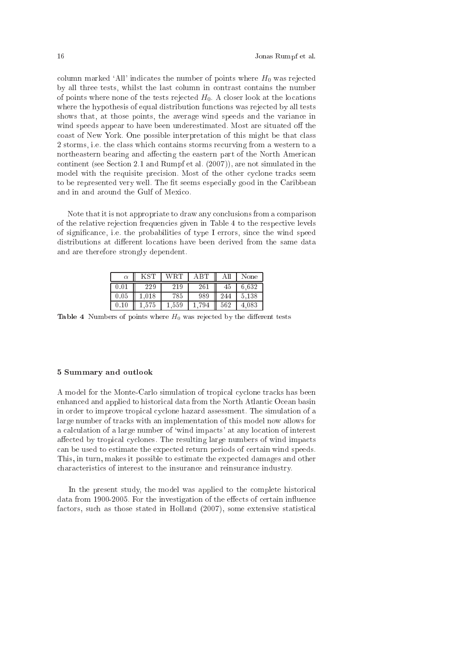column marked 'All' indicates the number of points where  $H_0$  was rejected by all three tests, whilst the last olumn in ontrast ontains the number of points where none of the tests rejected  $H_0$ . A closer look at the locations where the hypothesis of equal distribution functions was rejected by all tests shows that, at those points, the average wind speeds and the variance in wind speeds appear to have been underestimated. Most are situated off the coast of New York. One possible interpretation of this might be that class 2 storms, i.e. the class which contains storms recurving from a western to a northeastern bearing and affecting the eastern part of the North American continent (see Section 2.1 and Rumpf et al. (2007)), are not simulated in the model with the requisite precision. Most of the other cyclone tracks seem to be represented very well. The fit seems especially good in the Caribbean and in and around the Gulf of Mexi
o.

Note that it is not appropriate to draw any conclusions from a comparison of the relative reje
tion frequen
ies given in Table 4 to the respe
tive levels of signi
an
e, i.e. the probabilities of type I errors, sin
e the wind speed distributions at different locations have been derived from the same data and are therefore strongly dependent.

| $\alpha$ | KST   | $_{\rm WRT}$ | ABT   | Аll | None  |
|----------|-------|--------------|-------|-----|-------|
| 0.01     | 229   | 219          | 261   | 45  | 6.632 |
| 0.05     | 1.018 | 785          | 989   | 244 | 5.138 |
| 0.10     | 1.575 | 1.559        | 1.794 | 562 | 4.083 |

Table 4 Numbers of points where  $H_0$  was rejected by the different tests

# 5 Summary and outlook

A model for the Monte-Carlo simulation of tropical cyclone tracks has been enhanced and applied to historical data from the North Atlantic Ocean basin in order to improve tropical cyclone hazard assessment. The simulation of a large number of tracks with an implementation of this model now allows for a calculation of a large number of 'wind impacts' at any location of interest affected by tropical cyclones. The resulting large numbers of wind impacts an be used to estimate the expe
ted return periods of ertain wind speeds. This, in turn, makes it possible to estimate the expe
ted damages and other hara
teristi
s of interest to the insuran
e and reinsuran
e industry.

In the present study, the model was applied to the complete historical data from 1900-2005. For the investigation of the effects of certain influence factors, such as those stated in Holland (2007), some extensive statistical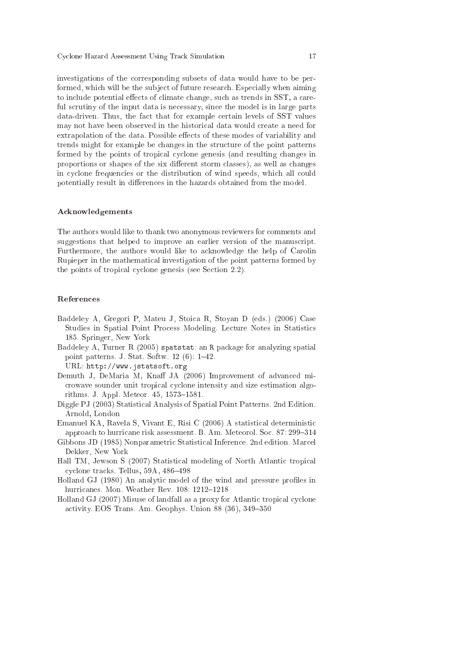investigations of the corresponding subsets of data would have to be performed, which will be the subject of future research. Especially when aiming to include potential effects of climate change, such as trends in SST, a careful scrutiny of the input data is necessary, since the model is in large parts data-driven. Thus, the fact that for example certain levels of SST values may not have been observed in the historical data would create a need for extrapolation of the data. Possible effects of these modes of variability and trends might for example be changes in the structure of the point patterns formed by the points of tropical cyclone genesis (and resulting changes in proportions or shapes of the six different storm classes), as well as changes in cyclone frequencies or the distribution of wind speeds, which all could potentially result in differences in the hazards obtained from the model.

# Acknowledgements

The authors would like to thank two anonymous reviewers for comments and suggestions that helped to improve an earlier version of the manuscript. Furthermore, the authors would like to acknowledge the help of Carolin Rupieper in the mathematical investigation of the point patterns formed by the points of tropical cyclone genesis (see Section 2.2).

# References

- Baddeley A, Gregori P, Mateu J, Stoica R, Stovan D (eds.) (2006) Case Studies in Spatial Point Process Modeling. Lecture Notes in Statistics 185. Springer, New York
- Baddeley A, Turner R (2005) spatstat: an R package for analyzing spatial point patterns. J. Stat. Softw.  $12(6)$ : 1-42.

URL: http://www.jstatsoft.org

- Demuth J, DeMaria M, Knaff JA (2006) Improvement of advanced microwave sounder unit tropical cyclone intensity and size estimation algorithms. J. Appl. Meteor. 45, 1573-1581.
- Diggle PJ (2003) Statistical Analysis of Spatial Point Patterns. 2nd Edition. Arnold, London
- Emanuel KA, Ravela S, Vivant E, Risi C (2006) A statistical deterministic approach to hurricane risk assessment. B. Am. Meteorol. Soc. 87: 299-314
- Gibbons JD (1985) Nonparametric Statistical Inference. 2nd edition. Marcel Dekker, New York
- Hall TM, Jewson S (2007) Statistical modeling of North Atlantic tropical cyclone tracks. Tellus, 59A, 486-498
- Holland GJ (1980) An analytic model of the wind and pressure profiles in hurricanes. Mon. Weather Rev. 108: 1212-1218
- Holland GJ (2007) Misuse of landfall as a proxy for Atlantic tropical cyclone activity. EOS Trans. Am. Geophys. Union 88 (36), 349-350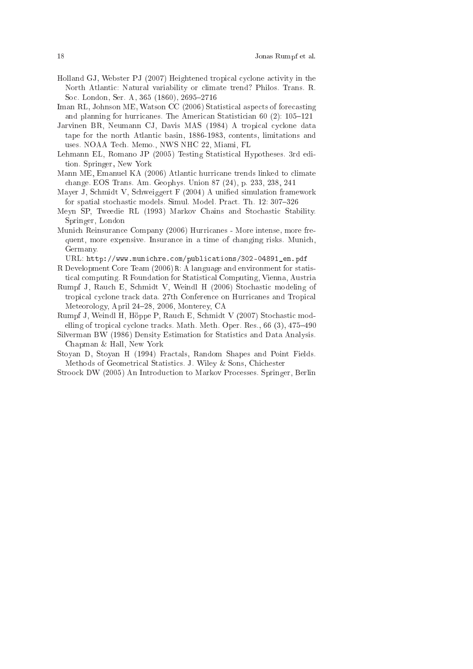- Holland GJ, Webster PJ (2007) Heightened tropical cyclone activity in the North Atlanti
: Natural variability or limate trend? Philos. Trans. R. Soc. London, Ser. A, 365 (1860), 2695-2716
- Iman RL, Johnson ME, Watson CC (2006) Statistical aspects of forecasting and planning for hurricanes. The American Statistician  $60(2)$ : 105-121
- Jarvinen BR, Neumann CJ, Davis MAS (1984) A tropical cyclone data tape for the north Atlanti basin, 1886-1983, ontents, limitations and uses. NOAA Te
h. Memo., NWS NHC 22, Miami, FL
- Lehmann EL, Romano JP (2005) Testing Statisti
al Hypotheses. 3rd edition. Springer, New York
- Mann ME, Emanuel KA (2006) Atlantic hurricane trends linked to climate hange. EOS Trans. Am. Geophys. Union 87 (24), p. 233, 238, 241
- Mayer J, Schmidt V, Schweiggert F (2004) A unified simulation framework for spatial stochastic models. Simul. Model. Pract. Th. 12: 307-326
- Meyn SP, Tweedie RL (1993) Markov Chains and Sto
hasti Stability. Springer, London
- Muni
h Reinsuran
e Company (2006) Hurri
anes More intense, more frequent, more expensive. Insurance in a time of changing risks. Munich, Germany.

URL: http://www.munichre.com/publications/302-04891\_en.pdf

- R Development Core Team (2006) R: A language and environment for statisti
al omputing. R Foundation for Statisti
al Computing, Vienna, Austria
- Rumpf J, Rau
h E, S
hmidt V, Weindl H (2006) Sto
hasti modeling of tropical cyclone track data. 27th Conference on Hurricanes and Tropical Meteorology, April 24-28, 2006, Monterey, CA
- Rumpf J, Weindl H, Höppe P, Rauch E, Schmidt V (2007) Stochastic modelling of tropical cyclone tracks. Math. Meth. Oper. Res.,  $66(3)$ ,  $475-490$
- Silverman BW (1986) Density Estimation for Statisti
s and Data Analysis. Chapman & Hall, New York
- Stoyan D, Stoyan H (1994) Fractals, Random Shapes and Point Fields. Methods of Geometrical Statistics. J. Wiley & Sons, Chichester

Stroo
k DW (2005) An Introdu
tion to Markov Pro
esses. Springer, Berlin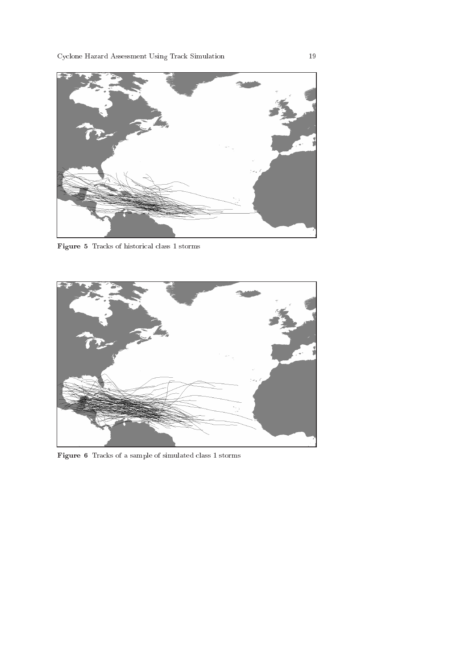

Figure 5 Tracks of historical class 1 storms



Figure 6  $\,$  Tracks of a sample of simulated class 1 storms